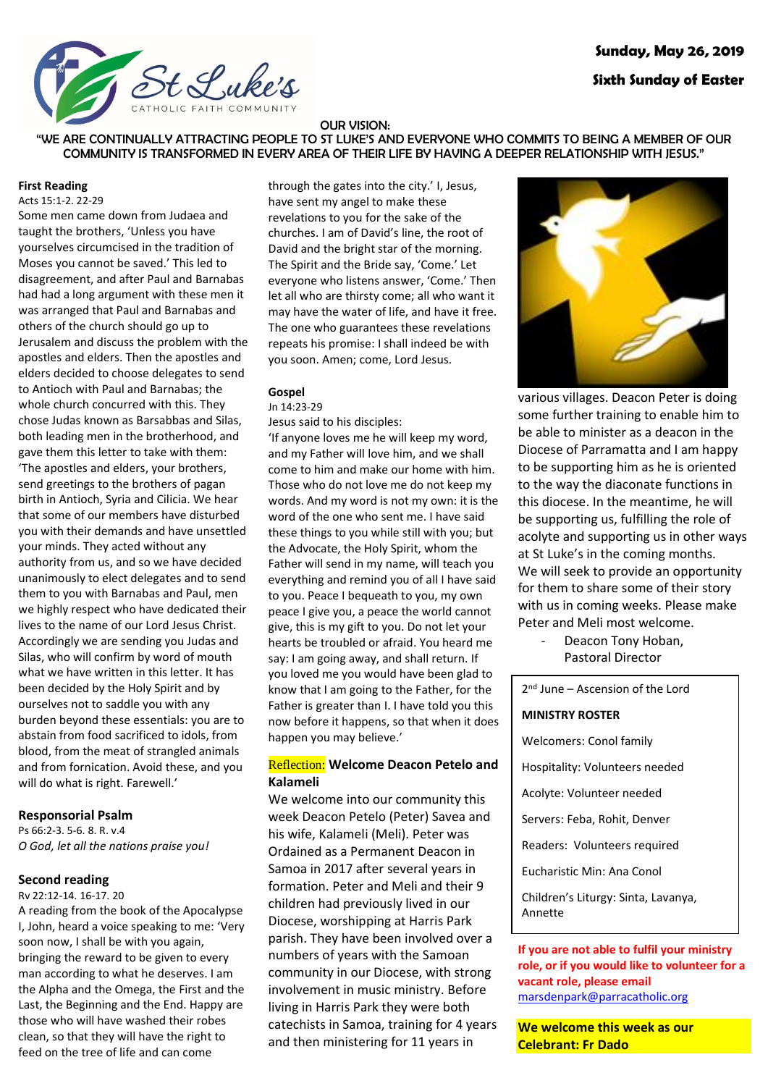

### OUR VISION:

"WE ARE CONTINUALLY ATTRACTING PEOPLE TO ST LUKE'S AND EVERYONE WHO COMMITS TO BEING A MEMBER OF OUR COMMUNITY IS TRANSFORMED IN EVERY AREA OF THEIR LIFE BY HAVING A DEEPER RELATIONSHIP WITH JESUS."

#### **First Reading**

Acts 15:1-2. 22-29

Some men came down from Judaea and taught the brothers, 'Unless you have yourselves circumcised in the tradition of Moses you cannot be saved.' This led to disagreement, and after Paul an[d Barnabas](http://liturgyhelp.com.au/resource_file/wav/Barnabas.mp3) had had a long argument with these men it was arranged that Paul an[d Barnabas](http://liturgyhelp.com.au/resource_file/wav/Barnabas.mp3) and others of the church should go up to [Jerusalem](http://liturgyhelp.com.au/resource_file/wav/Jerusalem.mp3) and discuss the problem with the apostles and elders. Then the apostles and elders decided to choose delegates to send to [Antioch](http://liturgyhelp.com.au/resource_file/wav/Antioch.mp3) with Paul and [Barnabas;](http://liturgyhelp.com.au/resource_file/wav/Barnabas.mp3) the whole church concurred with this. They chose Judas known a[s Barsabbas](http://liturgyhelp.com.au/resource_file/wav/Barsabbas.mp3) an[d Silas,](http://liturgyhelp.com.au/resource_file/wav/Silas.mp3) both leading men in the brotherhood, and gave them this letter to take with them: 'The apostles and elders, your brothers, send greetings to the brothers of pagan birth in [Antioch,](http://liturgyhelp.com.au/resource_file/wav/Antioch.mp3) [Syria](http://liturgyhelp.com.au/resource_file/wav/Syria.mp3) an[d Cilicia.](http://liturgyhelp.com.au/resource_file/wav/Cilicia.mp3) We hear that some of our members have disturbed you with their demands and have unsettled your minds. They acted without any authority from us, and so we have decided unanimously to elect delegates and to send them to you with [Barnabas](http://liturgyhelp.com.au/resource_file/wav/Barnabas.mp3) and Paul, men we highly respect who have dedicated their lives to the name of our Lord Jesus Christ. Accordingly we are sending you Judas and [Silas,](http://liturgyhelp.com.au/resource_file/wav/Silas.mp3) who will confirm by word of mouth what we have written in this letter. It has been decided by the Holy Spirit and by ourselves not to saddle you with any burden beyond these essentials: you are to abstain from food sacrificed to idols, from blood, from the meat of strangled animals and from fornication. Avoid these, and you will do what is right. Farewell.'

### **Responsorial Psalm**

Ps 66:2-3. 5-6. 8. R. v.4 *O God, let all the nations praise you!*

## **Second reading**

Rv 22:12-14. 16-17. 20

A reading from the book of the Apocalypse I, John, heard a voice speaking to me: 'Very soon now, I shall be with you again, bringing the reward to be given to every man according to what he deserves. I am the [Alpha](http://liturgyhelp.com.au/resource_file/wav/Alpha.mp3) and the [Omega,](http://liturgyhelp.com.au/resource_file/wav/Omega.mp3) the First and the Last, the Beginning and the End. Happy are those who will have washed their robes clean, so that they will have the right to feed on the tree of life and can come

through the gates into the city.' I, Jesus, have sent my angel to make these revelations to you for the sake of the churches. I am of David's line, the root of David and the bright star of the morning. The Spirit and the Bride say, 'Come.' Let everyone who listens answer, 'Come.' Then let all who are thirsty come; all who want it may have the water of life, and have it free. The one who guarantees these revelations repeats his promise: I shall indeed be with you soon. Amen; come, Lord Jesus.

### **Gospel**

Jn 14:23-29

Jesus said to his disciples:

'If anyone loves me he will keep my word, and my Father will love him, and we shall come to him and make our home with him. Those who do not love me do not keep my words. And my word is not my own: it is the word of the one who sent me. I have said these things to you while still with you; but the Advocate, the Holy Spirit, whom the Father will send in my name, will teach you everything and remind you of all I have said to you. Peace I bequeath to you, my own peace I give you, a peace the world cannot give, this is my gift to you. Do not let your hearts be troubled or afraid. You heard me say: I am going away, and shall return. If you loved me you would have been glad to know that I am going to the Father, for the Father is greater than I. I have told you this now before it happens, so that when it does happen you may believe.'

## Reflection: **Welcome Deacon Petelo and Kalameli**

We welcome into our community this week Deacon Petelo (Peter) Savea and his wife, Kalameli (Meli). Peter was Ordained as a Permanent Deacon in Samoa in 2017 after several years in formation. Peter and Meli and their 9 children had previously lived in our Diocese, worshipping at Harris Park parish. They have been involved over a numbers of years with the Samoan community in our Diocese, with strong involvement in music ministry. Before living in Harris Park they were both catechists in Samoa, training for 4 years and then ministering for 11 years in



various villages. Deacon Peter is doing some further training to enable him to be able to minister as a deacon in the Diocese of Parramatta and I am happy to be supporting him as he is oriented to the way the diaconate functions in this diocese. In the meantime, he will be supporting us, fulfilling the role of acolyte and supporting us in other ways at St Luke's in the coming months. We will seek to provide an opportunity for them to share some of their story with us in coming weeks. Please make Peter and Meli most welcome.

> Deacon Tony Hoban, Pastoral Director

2<sup>nd</sup> June - Ascension of the Lord **MINISTRY ROSTER** Welcomers: Conol family Hospitality: Volunteers needed Acolyte: Volunteer needed Servers: Feba, Rohit, Denver Readers: Volunteers required Eucharistic Min: Ana Conol

Children's Liturgy: Sinta, Lavanya, Annette

**If you are not able to fulfil your ministry**  role, or if you would like to volunteer for a **vacant role, please email**  [marsdenpark@parracatholic.org](mailto:marsdenpark@parracatholic.org)

**We welcome this week as our Celebrant: Fr Dado**